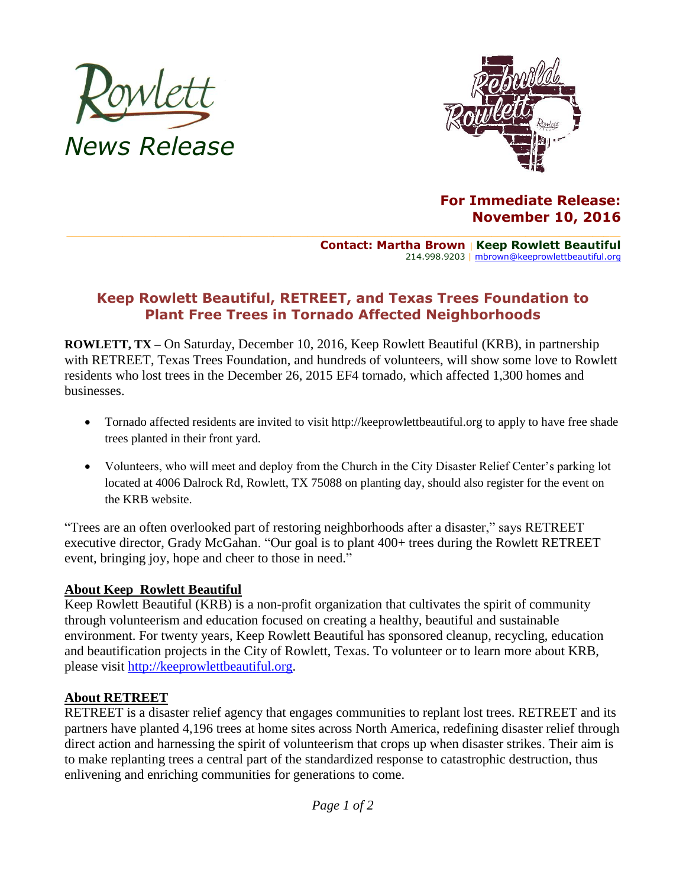



# **For Immediate Release: November 10, 2016**

**Contact: Martha Brown** | **Keep Rowlett Beautiful** 214.998.9203 | [mbrown@keeprowlettbeautiful.org](mailto:mbrown@keeprowlettbeautiful.org)

## **Keep Rowlett Beautiful, RETREET, and Texas Trees Foundation to Plant Free Trees in Tornado Affected Neighborhoods**

**ROWLETT, TX –** On Saturday, December 10, 2016, Keep Rowlett Beautiful (KRB), in partnership with RETREET, Texas Trees Foundation, and hundreds of volunteers, will show some love to Rowlett residents who lost trees in the December 26, 2015 EF4 tornado, which affected 1,300 homes and businesses.

- Tornado affected residents are invited to visit http://keeprowlettbeautiful.org to apply to have free shade trees planted in their front yard.
- Volunteers, who will meet and deploy from the Church in the City Disaster Relief Center's parking lot located at 4006 Dalrock Rd, Rowlett, TX 75088 on planting day, should also register for the event on the KRB website.

"Trees are an often overlooked part of restoring neighborhoods after a disaster," says RETREET executive director, Grady McGahan. "Our goal is to plant 400+ trees during the Rowlett RETREET event, bringing joy, hope and cheer to those in need."

### **About Keep Rowlett Beautiful**

Keep Rowlett Beautiful (KRB) is a non-profit organization that cultivates the spirit of community through volunteerism and education focused on creating a healthy, beautiful and sustainable environment. For twenty years, Keep Rowlett Beautiful has sponsored cleanup, recycling, education and beautification projects in the City of Rowlett, Texas. To volunteer or to learn more about KRB, please visit [http://keeprowlettbeautiful.org.](http://keeprowlettbeautiful.org/)

### **About RETREET**

RETREET is a disaster relief agency that engages communities to replant lost trees. RETREET and its partners have planted 4,196 trees at home sites across North America, redefining disaster relief through direct action and harnessing the spirit of volunteerism that crops up when disaster strikes. Their aim is to make replanting trees a central part of the standardized response to catastrophic destruction, thus enlivening and enriching communities for generations to come.